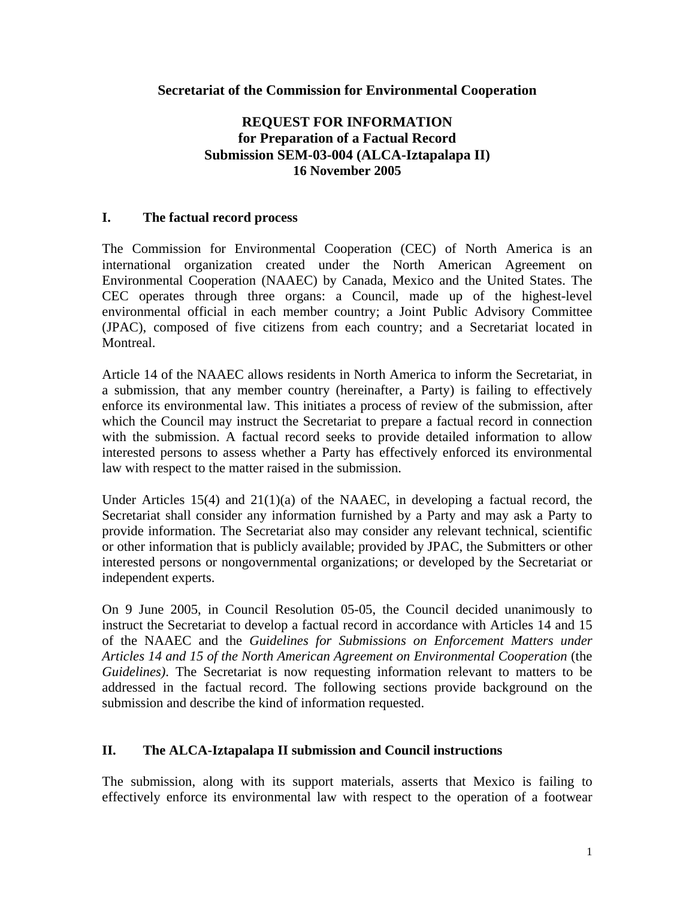### **Secretariat of the Commission for Environmental Cooperation**

### **REQUEST FOR INFORMATION for Preparation of a Factual Record Submission SEM-03-004 (ALCA-Iztapalapa II) 16 November 2005**

#### **I. The factual record process**

The Commission for Environmental Cooperation (CEC) of North America is an international organization created under the North American Agreement on Environmental Cooperation (NAAEC) by Canada, Mexico and the United States. The CEC operates through three organs: a Council, made up of the highest-level environmental official in each member country; a Joint Public Advisory Committee (JPAC), composed of five citizens from each country; and a Secretariat located in Montreal.

Article 14 of the NAAEC allows residents in North America to inform the Secretariat, in a submission, that any member country (hereinafter, a Party) is failing to effectively enforce its environmental law. This initiates a process of review of the submission, after which the Council may instruct the Secretariat to prepare a factual record in connection with the submission. A factual record seeks to provide detailed information to allow interested persons to assess whether a Party has effectively enforced its environmental law with respect to the matter raised in the submission.

Under Articles 15(4) and 21(1)(a) of the NAAEC, in developing a factual record, the Secretariat shall consider any information furnished by a Party and may ask a Party to provide information. The Secretariat also may consider any relevant technical, scientific or other information that is publicly available; provided by JPAC, the Submitters or other interested persons or nongovernmental organizations; or developed by the Secretariat or independent experts.

On 9 June 2005, in Council Resolution 05-05, the Council decided unanimously to instruct the Secretariat to develop a factual record in accordance with Articles 14 and 15 of the NAAEC and the *Guidelines for Submissions on Enforcement Matters under Articles 14 and 15 of the North American Agreement on Environmental Cooperation* (the *Guidelines)*. The Secretariat is now requesting information relevant to matters to be addressed in the factual record. The following sections provide background on the submission and describe the kind of information requested.

#### **II. The ALCA-Iztapalapa II submission and Council instructions**

The submission, along with its support materials, asserts that Mexico is failing to effectively enforce its environmental law with respect to the operation of a footwear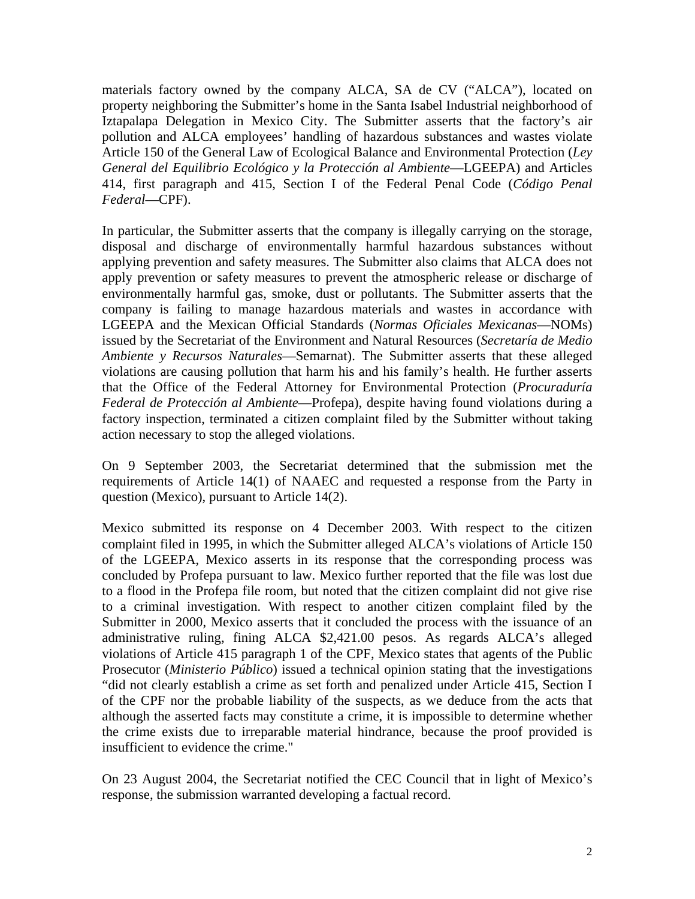materials factory owned by the company ALCA, SA de CV ("ALCA"), located on property neighboring the Submitter's home in the Santa Isabel Industrial neighborhood of Iztapalapa Delegation in Mexico City. The Submitter asserts that the factory's air pollution and ALCA employees' handling of hazardous substances and wastes violate Article 150 of the General Law of Ecological Balance and Environmental Protection (*Ley General del Equilibrio Ecológico y la Protección al Ambiente*—LGEEPA) and Articles 414, first paragraph and 415, Section I of the Federal Penal Code (*Código Penal Federal*—CPF).

In particular, the Submitter asserts that the company is illegally carrying on the storage, disposal and discharge of environmentally harmful hazardous substances without applying prevention and safety measures. The Submitter also claims that ALCA does not apply prevention or safety measures to prevent the atmospheric release or discharge of environmentally harmful gas, smoke, dust or pollutants. The Submitter asserts that the company is failing to manage hazardous materials and wastes in accordance with LGEEPA and the Mexican Official Standards (*Normas Oficiales Mexicanas*—NOMs) issued by the Secretariat of the Environment and Natural Resources (*Secretaría de Medio Ambiente y Recursos Naturales*—Semarnat). The Submitter asserts that these alleged violations are causing pollution that harm his and his family's health. He further asserts that the Office of the Federal Attorney for Environmental Protection (*Procuraduría Federal de Protección al Ambiente*—Profepa), despite having found violations during a factory inspection, terminated a citizen complaint filed by the Submitter without taking action necessary to stop the alleged violations.

On 9 September 2003, the Secretariat determined that the submission met the requirements of Article 14(1) of NAAEC and requested a response from the Party in question (Mexico), pursuant to Article 14(2).

Mexico submitted its response on 4 December 2003. With respect to the citizen complaint filed in 1995, in which the Submitter alleged ALCA's violations of Article 150 of the LGEEPA, Mexico asserts in its response that the corresponding process was concluded by Profepa pursuant to law. Mexico further reported that the file was lost due to a flood in the Profepa file room, but noted that the citizen complaint did not give rise to a criminal investigation. With respect to another citizen complaint filed by the Submitter in 2000, Mexico asserts that it concluded the process with the issuance of an administrative ruling, fining ALCA \$2,421.00 pesos. As regards ALCA's alleged violations of Article 415 paragraph 1 of the CPF, Mexico states that agents of the Public Prosecutor (*Ministerio Público*) issued a technical opinion stating that the investigations "did not clearly establish a crime as set forth and penalized under Article 415, Section I of the CPF nor the probable liability of the suspects, as we deduce from the acts that although the asserted facts may constitute a crime, it is impossible to determine whether the crime exists due to irreparable material hindrance, because the proof provided is insufficient to evidence the crime."

On 23 August 2004, the Secretariat notified the CEC Council that in light of Mexico's response, the submission warranted developing a factual record.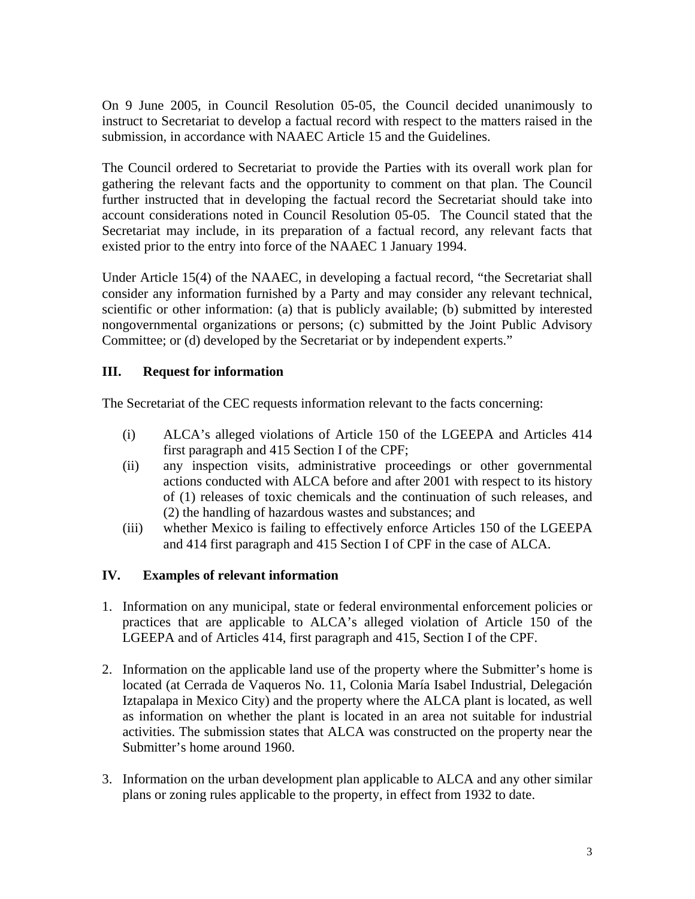On 9 June 2005, in Council Resolution 05-05, the Council decided unanimously to instruct to Secretariat to develop a factual record with respect to the matters raised in the submission, in accordance with NAAEC Article 15 and the Guidelines.

The Council ordered to Secretariat to provide the Parties with its overall work plan for gathering the relevant facts and the opportunity to comment on that plan. The Council further instructed that in developing the factual record the Secretariat should take into account considerations noted in Council Resolution 05-05. The Council stated that the Secretariat may include, in its preparation of a factual record, any relevant facts that existed prior to the entry into force of the NAAEC 1 January 1994.

Under Article 15(4) of the NAAEC, in developing a factual record, "the Secretariat shall consider any information furnished by a Party and may consider any relevant technical, scientific or other information: (a) that is publicly available; (b) submitted by interested nongovernmental organizations or persons; (c) submitted by the Joint Public Advisory Committee; or (d) developed by the Secretariat or by independent experts."

# **III. Request for information**

The Secretariat of the CEC requests information relevant to the facts concerning:

- (i) ALCA's alleged violations of Article 150 of the LGEEPA and Articles 414 first paragraph and 415 Section I of the CPF;
- (ii) any inspection visits, administrative proceedings or other governmental actions conducted with ALCA before and after 2001 with respect to its history of (1) releases of toxic chemicals and the continuation of such releases, and (2) the handling of hazardous wastes and substances; and
- (iii) whether Mexico is failing to effectively enforce Articles 150 of the LGEEPA and 414 first paragraph and 415 Section I of CPF in the case of ALCA.

# **IV. Examples of relevant information**

- 1. Information on any municipal, state or federal environmental enforcement policies or practices that are applicable to ALCA's alleged violation of Article 150 of the LGEEPA and of Articles 414, first paragraph and 415, Section I of the CPF.
- 2. Information on the applicable land use of the property where the Submitter's home is located (at Cerrada de Vaqueros No. 11, Colonia María Isabel Industrial, Delegación Iztapalapa in Mexico City) and the property where the ALCA plant is located, as well as information on whether the plant is located in an area not suitable for industrial activities. The submission states that ALCA was constructed on the property near the Submitter's home around 1960.
- 3. Information on the urban development plan applicable to ALCA and any other similar plans or zoning rules applicable to the property, in effect from 1932 to date.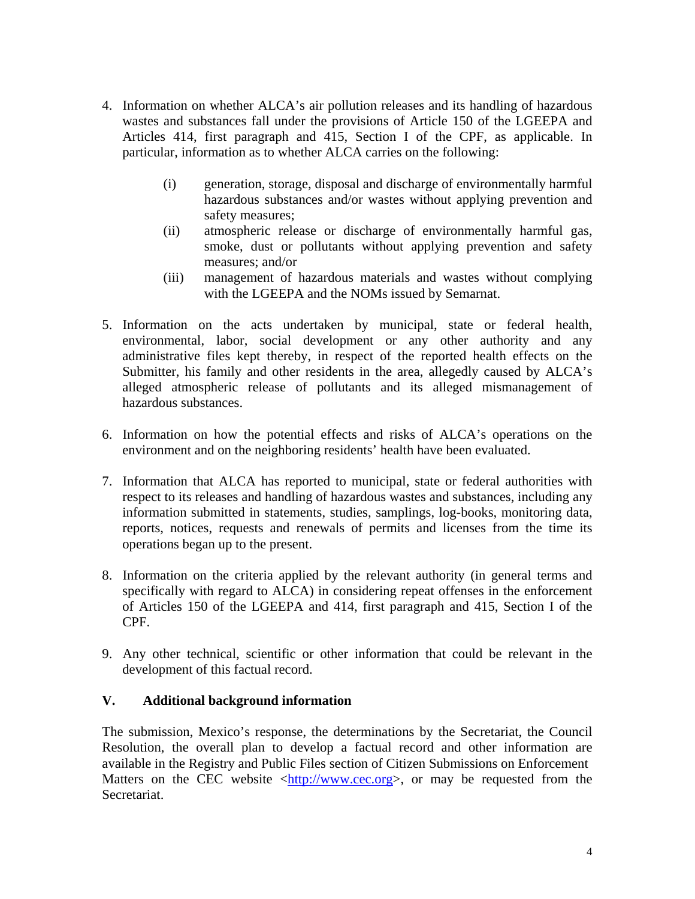- 4. Information on whether ALCA's air pollution releases and its handling of hazardous wastes and substances fall under the provisions of Article 150 of the LGEEPA and Articles 414, first paragraph and 415, Section I of the CPF, as applicable. In particular, information as to whether ALCA carries on the following:
	- (i) generation, storage, disposal and discharge of environmentally harmful hazardous substances and/or wastes without applying prevention and safety measures;
	- (ii) atmospheric release or discharge of environmentally harmful gas, smoke, dust or pollutants without applying prevention and safety measures; and/or
	- (iii) management of hazardous materials and wastes without complying with the LGEEPA and the NOMs issued by Semarnat.
- 5. Information on the acts undertaken by municipal, state or federal health, environmental, labor, social development or any other authority and any administrative files kept thereby, in respect of the reported health effects on the Submitter, his family and other residents in the area, allegedly caused by ALCA's alleged atmospheric release of pollutants and its alleged mismanagement of hazardous substances.
- 6. Information on how the potential effects and risks of ALCA's operations on the environment and on the neighboring residents' health have been evaluated.
- 7. Information that ALCA has reported to municipal, state or federal authorities with respect to its releases and handling of hazardous wastes and substances, including any information submitted in statements, studies, samplings, log-books, monitoring data, reports, notices, requests and renewals of permits and licenses from the time its operations began up to the present.
- 8. Information on the criteria applied by the relevant authority (in general terms and specifically with regard to ALCA) in considering repeat offenses in the enforcement of Articles 150 of the LGEEPA and 414, first paragraph and 415, Section I of the CPF.
- 9. Any other technical, scientific or other information that could be relevant in the development of this factual record.

### **V. Additional background information**

The submission, Mexico's response, the determinations by the Secretariat, the Council Resolution, the overall plan to develop a factual record and other information are available in the Registry and Public Files section of Citizen Submissions on Enforcement Matters on the CEC website <http://www.cec.org>, or may be requested from the Secretariat.